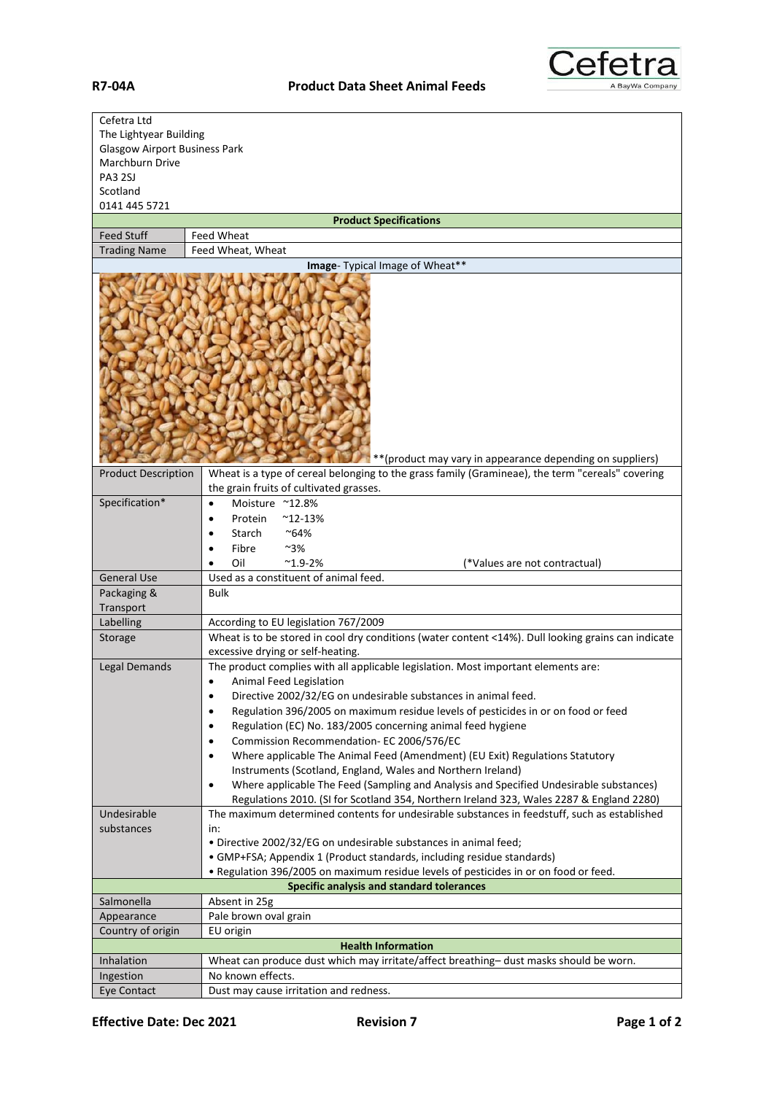

| Cefetra Ltd                          |                                                                                                                                                          |
|--------------------------------------|----------------------------------------------------------------------------------------------------------------------------------------------------------|
| The Lightyear Building               |                                                                                                                                                          |
| <b>Glasgow Airport Business Park</b> |                                                                                                                                                          |
| Marchburn Drive                      |                                                                                                                                                          |
| <b>PA3 2SJ</b>                       |                                                                                                                                                          |
| Scotland                             |                                                                                                                                                          |
| 0141 445 5721                        |                                                                                                                                                          |
| <b>Feed Stuff</b>                    | <b>Product Specifications</b><br>Feed Wheat                                                                                                              |
| <b>Trading Name</b>                  | Feed Wheat, Wheat                                                                                                                                        |
|                                      | Image- Typical Image of Wheat**                                                                                                                          |
|                                      |                                                                                                                                                          |
|                                      |                                                                                                                                                          |
|                                      | ** (product may vary in appearance depending on suppliers)                                                                                               |
| <b>Product Description</b>           | Wheat is a type of cereal belonging to the grass family (Gramineae), the term "cereals" covering<br>the grain fruits of cultivated grasses.              |
| Specification*                       | Moisture ~12.8%<br>$\bullet$                                                                                                                             |
|                                      | $^{\sim}$ 12-13%<br>Protein<br>$\bullet$                                                                                                                 |
|                                      | Starch<br>~64%<br>٠                                                                                                                                      |
|                                      | Fibre<br>~3%                                                                                                                                             |
|                                      | $^{\sim}$ 1.9-2%<br>Oil<br>(*Values are not contractual)                                                                                                 |
| <b>General Use</b>                   | Used as a constituent of animal feed.                                                                                                                    |
| Packaging &                          | <b>Bulk</b>                                                                                                                                              |
| Transport                            |                                                                                                                                                          |
| Labelling                            | According to EU legislation 767/2009                                                                                                                     |
| Storage                              | Wheat is to be stored in cool dry conditions (water content <14%). Dull looking grains can indicate                                                      |
|                                      | excessive drying or self-heating.                                                                                                                        |
| Legal Demands                        | The product complies with all applicable legislation. Most important elements are:                                                                       |
|                                      | Animal Feed Legislation                                                                                                                                  |
|                                      | Directive 2002/32/EG on undesirable substances in animal feed.<br>$\bullet$                                                                              |
|                                      | Regulation 396/2005 on maximum residue levels of pesticides in or on food or feed<br>$\bullet$                                                           |
|                                      | Regulation (EC) No. 183/2005 concerning animal feed hygiene<br>٠                                                                                         |
|                                      | Commission Recommendation-EC 2006/576/EC<br>$\bullet$                                                                                                    |
|                                      | Where applicable The Animal Feed (Amendment) (EU Exit) Regulations Statutory<br>$\bullet$<br>Instruments (Scotland, England, Wales and Northern Ireland) |
|                                      | Where applicable The Feed (Sampling and Analysis and Specified Undesirable substances)<br>$\bullet$                                                      |
|                                      | Regulations 2010. (SI for Scotland 354, Northern Ireland 323, Wales 2287 & England 2280)                                                                 |
| Undesirable                          | The maximum determined contents for undesirable substances in feedstuff, such as established                                                             |
| substances                           | in:                                                                                                                                                      |
|                                      | · Directive 2002/32/EG on undesirable substances in animal feed;                                                                                         |
|                                      | • GMP+FSA; Appendix 1 (Product standards, including residue standards)                                                                                   |
|                                      | . Regulation 396/2005 on maximum residue levels of pesticides in or on food or feed.                                                                     |
|                                      | Specific analysis and standard tolerances                                                                                                                |
| Salmonella                           | Absent in 25g                                                                                                                                            |
| Appearance                           | Pale brown oval grain                                                                                                                                    |
| Country of origin                    | EU origin                                                                                                                                                |
|                                      | <b>Health Information</b>                                                                                                                                |
| Inhalation                           | Wheat can produce dust which may irritate/affect breathing-dust masks should be worn.                                                                    |
| Ingestion                            | No known effects.                                                                                                                                        |
| <b>Eye Contact</b>                   | Dust may cause irritation and redness.                                                                                                                   |